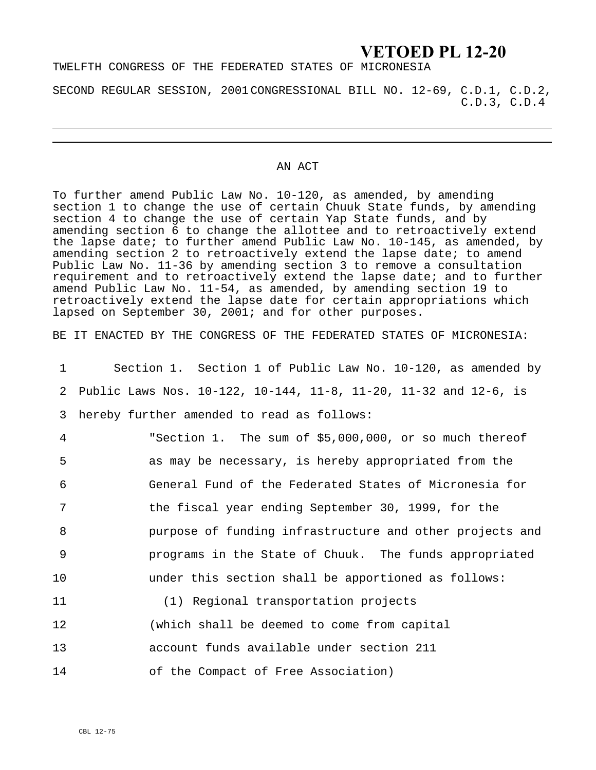# **VETOED PL 12-20**

## TWELFTH CONGRESS OF THE FEDERATED STATES OF MICRONESIA

SECOND REGULAR SESSION, 2001CONGRESSIONAL BILL NO. 12-69, C.D.1, C.D.2, C.D.3, C.D.4

#### AN ACT

To further amend Public Law No. 10-120, as amended, by amending section 1 to change the use of certain Chuuk State funds, by amending section 4 to change the use of certain Yap State funds, and by amending section 6 to change the allottee and to retroactively extend the lapse date; to further amend Public Law No. 10-145, as amended, by amending section 2 to retroactively extend the lapse date; to amend Public Law No. 11-36 by amending section 3 to remove a consultation requirement and to retroactively extend the lapse date; and to further amend Public Law No. 11-54, as amended, by amending section 19 to retroactively extend the lapse date for certain appropriations which lapsed on September 30, 2001; and for other purposes.

BE IT ENACTED BY THE CONGRESS OF THE FEDERATED STATES OF MICRONESIA:

| 1               | Section 1. Section 1 of Public Law No. 10-120, as amended by       |
|-----------------|--------------------------------------------------------------------|
|                 | 2 Public Laws Nos. 10-122, 10-144, 11-8, 11-20, 11-32 and 12-6, is |
| 3               | hereby further amended to read as follows:                         |
| $\overline{4}$  | "Section 1. The sum of \$5,000,000, or so much thereof             |
| 5               | as may be necessary, is hereby appropriated from the               |
| 6               | General Fund of the Federated States of Micronesia for             |
| 7               | the fiscal year ending September 30, 1999, for the                 |
| 8               | purpose of funding infrastructure and other projects and           |
| 9               | programs in the State of Chuuk. The funds appropriated             |
| 10 <sub>1</sub> | under this section shall be apportioned as follows:                |
| 11              | (1) Regional transportation projects                               |
| 12              | (which shall be deemed to come from capital                        |
| 13              | account funds available under section 211                          |
| 14              | of the Compact of Free Association)                                |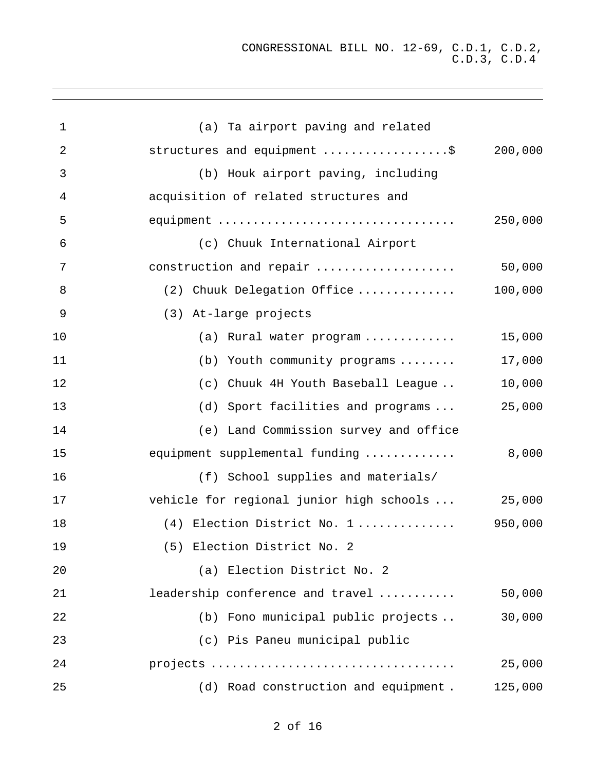| 1  | (a) Ta airport paving and related        |         |
|----|------------------------------------------|---------|
| 2  | structures and equipment \$              | 200,000 |
| 3  | (b) Houk airport paving, including       |         |
| 4  | acquisition of related structures and    |         |
| 5  | equipment                                | 250,000 |
| 6  | (c) Chuuk International Airport          |         |
| 7  | construction and repair                  | 50,000  |
| 8  | (2) Chuuk Delegation Office              | 100,000 |
| 9  | (3) At-large projects                    |         |
| 10 | (a) Rural water program                  | 15,000  |
| 11 | Youth community programs<br>(b)          | 17,000  |
| 12 | Chuuk 4H Youth Baseball League<br>(c)    | 10,000  |
| 13 | (d) Sport facilities and programs        | 25,000  |
| 14 | (e) Land Commission survey and office    |         |
| 15 | equipment supplemental funding           | 8,000   |
| 16 | (f) School supplies and materials/       |         |
| 17 | vehicle for regional junior high schools | 25,000  |
| 18 | (4) Election District No. 1              | 950,000 |
| 19 | (5) Election District No. 2              |         |
| 20 | (a) Election District No. 2              |         |
| 21 | leadership conference and travel         | 50,000  |
| 22 | (b) Fono municipal public projects       | 30,000  |
| 23 | (c) Pis Paneu municipal public           |         |
| 24 |                                          | 25,000  |
| 25 | (d) Road construction and equipment.     | 125,000 |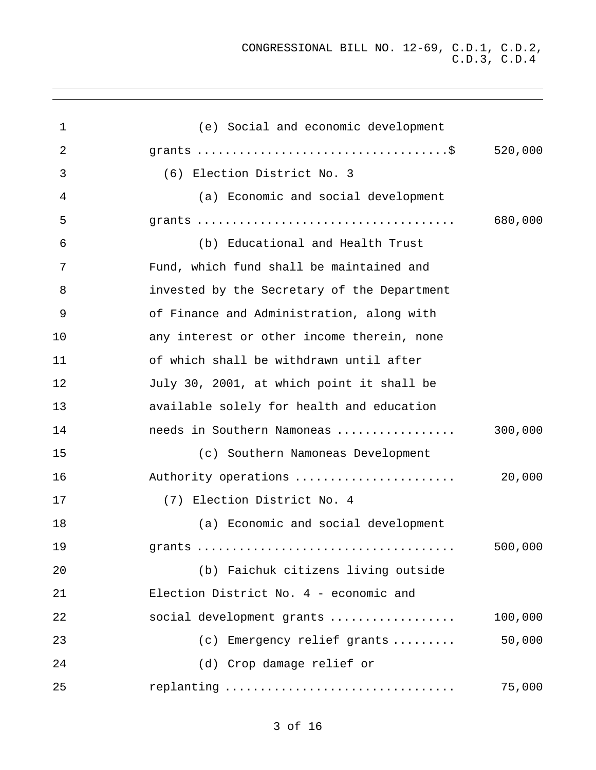| 1              | (e) Social and economic development         |         |
|----------------|---------------------------------------------|---------|
| $\overline{2}$ |                                             | 520,000 |
| 3              | (6) Election District No. 3                 |         |
| 4              | (a) Economic and social development         |         |
| 5              |                                             | 680,000 |
| 6              | (b) Educational and Health Trust            |         |
| 7              | Fund, which fund shall be maintained and    |         |
| 8              | invested by the Secretary of the Department |         |
| 9              | of Finance and Administration, along with   |         |
| 10             | any interest or other income therein, none  |         |
| 11             | of which shall be withdrawn until after     |         |
| 12             | July 30, 2001, at which point it shall be   |         |
| 13             | available solely for health and education   |         |
| 14             | needs in Southern Namoneas                  | 300,000 |
| 15             | (c) Southern Namoneas Development           |         |
| 16             | Authority operations                        | 20,000  |
| 17             | (7) Election District No. 4                 |         |
| 18             | (a) Economic and social development         |         |
| 19             |                                             | 500,000 |
| 20             | (b) Faichuk citizens living outside         |         |
| 21             | Election District No. 4 - economic and      |         |
| 22             | social development grants                   | 100,000 |
| 23             | (c) Emergency relief grants                 | 50,000  |
| 24             | (d) Crop damage relief or                   |         |
| 25             | replanting                                  | 75,000  |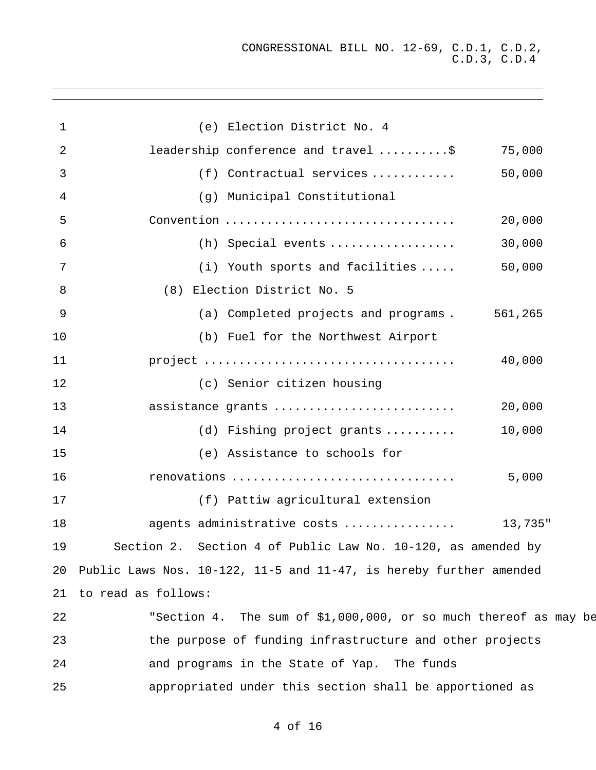| $\mathbf{1}$   |                        | (e) Election District No. 4                                           |         |
|----------------|------------------------|-----------------------------------------------------------------------|---------|
| 2              |                        | leadership conference and travel \$                                   | 75,000  |
| 3              |                        | (f) Contractual services                                              | 50,000  |
| 4              |                        | (g) Municipal Constitutional                                          |         |
| 5              |                        | Convention                                                            | 20,000  |
| 6              |                        | $(h)$ Special events                                                  | 30,000  |
| 7              |                        | (i) Youth sports and facilities                                       | 50,000  |
| 8              |                        | (8) Election District No. 5                                           |         |
| $\overline{9}$ |                        | (a) Completed projects and programs. 561,265                          |         |
| 10             |                        | (b) Fuel for the Northwest Airport                                    |         |
| 11             |                        |                                                                       | 40,000  |
| 12             |                        | (c) Senior citizen housing                                            |         |
| 13             |                        | assistance grants                                                     | 20,000  |
| 14             |                        | (d) Fishing project grants                                            | 10,000  |
| 15             |                        | (e) Assistance to schools for                                         |         |
| 16             |                        | renovations                                                           | 5,000   |
| 17             |                        | (f) Pattiw agricultural extension                                     |         |
| 18             |                        | agents administrative costs                                           | 13,735" |
| 19             |                        | Section 2. Section 4 of Public Law No. 10-120, as amended by          |         |
|                |                        | 20 Public Laws Nos. 10-122, 11-5 and 11-47, is hereby further amended |         |
|                | 21 to read as follows: |                                                                       |         |
| 22             |                        | "Section 4. The sum of \$1,000,000, or so much thereof as may be      |         |
| 23             |                        | the purpose of funding infrastructure and other projects              |         |
| 24             |                        | and programs in the State of Yap. The funds                           |         |
| 25             |                        | appropriated under this section shall be apportioned as               |         |
|                |                        |                                                                       |         |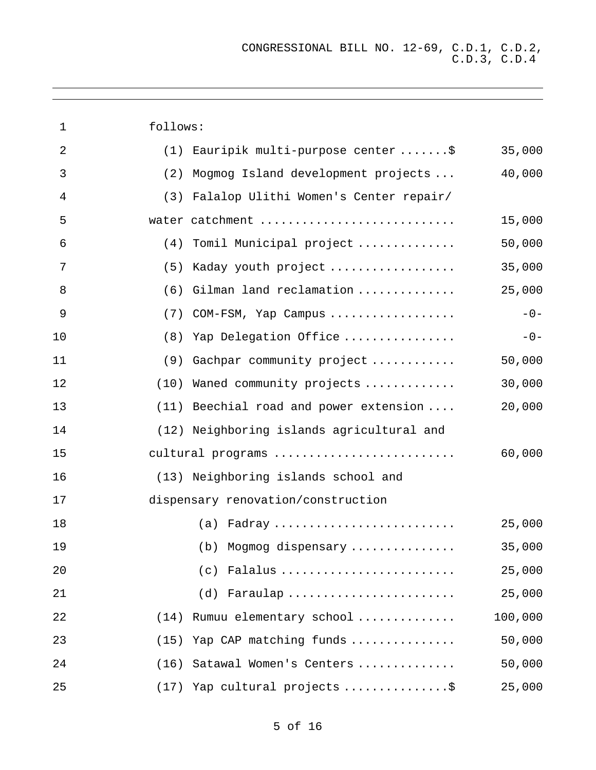| $\mathbf 1$    | follows: |                                           |         |
|----------------|----------|-------------------------------------------|---------|
| $\overline{2}$ |          | (1) Eauripik multi-purpose center \$      | 35,000  |
| 3              | (2)      | Mogmog Island development projects        | 40,000  |
| 4              | (3)      | Falalop Ulithi Women's Center repair/     |         |
| 5              |          | water catchment                           | 15,000  |
| 6              |          | (4) Tomil Municipal project               | 50,000  |
| 7              | (5)      | Kaday youth project                       | 35,000  |
| 8              | (6)      | Gilman land reclamation                   | 25,000  |
| 9              | (7)      | COM-FSM, Yap Campus                       | $-0-$   |
| 10             |          | (8) Yap Delegation Office                 | $-0-$   |
| 11             | (9)      | Gachpar community project                 | 50,000  |
| 12             |          | (10) Waned community projects             | 30,000  |
| 13             |          | (11) Beechial road and power extension    | 20,000  |
| 14             |          | (12) Neighboring islands agricultural and |         |
| 15             |          | cultural programs                         | 60,000  |
| 16             |          | (13) Neighboring islands school and       |         |
| 17             |          | dispensary renovation/construction        |         |
| 18             |          | $(a)$ Fadray                              | 25,000  |
| 19             |          | (b) Mogmog dispensary                     | 35,000  |
| 20             |          | $(c)$ Falalus                             | 25,000  |
| 21             |          | (d) Faraulap                              | 25,000  |
| 22             | (14)     | Rumuu elementary school                   | 100,000 |
| 23             | (15)     | Yap CAP matching funds                    | 50,000  |
| 24             | (16)     | Satawal Women's Centers                   | 50,000  |
| 25             | (17)     | Yap cultural projects \$                  | 25,000  |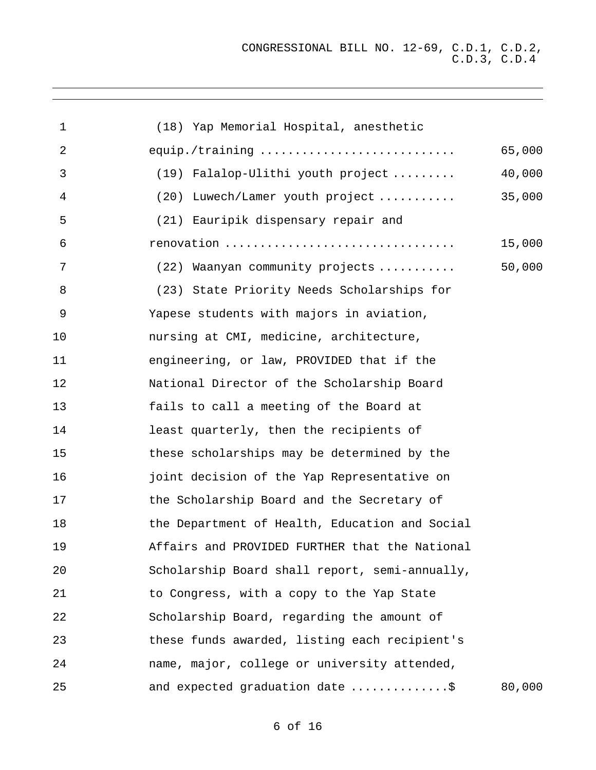| 1  | (18) Yap Memorial Hospital, anesthetic         |        |
|----|------------------------------------------------|--------|
| 2  | equip./training                                | 65,000 |
| 3  | (19) Falalop-Ulithi youth project              | 40,000 |
| 4  | (20) Luwech/Lamer youth project                | 35,000 |
| 5  | (21) Eauripik dispensary repair and            |        |
| 6  | renovation                                     | 15,000 |
| 7  | (22) Waanyan community projects                | 50,000 |
| 8  | (23) State Priority Needs Scholarships for     |        |
| 9  | Yapese students with majors in aviation,       |        |
| 10 | nursing at CMI, medicine, architecture,        |        |
| 11 | engineering, or law, PROVIDED that if the      |        |
| 12 | National Director of the Scholarship Board     |        |
| 13 | fails to call a meeting of the Board at        |        |
| 14 | least quarterly, then the recipients of        |        |
| 15 | these scholarships may be determined by the    |        |
| 16 | joint decision of the Yap Representative on    |        |
| 17 | the Scholarship Board and the Secretary of     |        |
| 18 | the Department of Health, Education and Social |        |
| 19 | Affairs and PROVIDED FURTHER that the National |        |
| 20 | Scholarship Board shall report, semi-annually, |        |
| 21 | to Congress, with a copy to the Yap State      |        |
| 22 | Scholarship Board, regarding the amount of     |        |
| 23 | these funds awarded, listing each recipient's  |        |
| 24 | name, major, college or university attended,   |        |
| 25 | and expected graduation date \$                | 80,000 |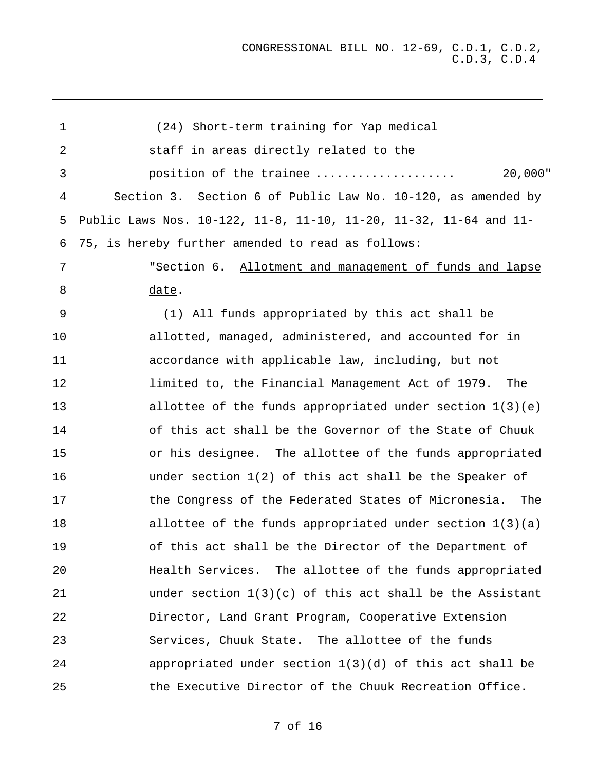| 1  | (24) Short-term training for Yap medical                          |
|----|-------------------------------------------------------------------|
| 2  | staff in areas directly related to the                            |
| 3  | $20,000$ "<br>position of the trainee                             |
| 4  | Section 3. Section 6 of Public Law No. 10-120, as amended by      |
| 5  | Public Laws Nos. 10-122, 11-8, 11-10, 11-20, 11-32, 11-64 and 11- |
| 6  | 75, is hereby further amended to read as follows:                 |
| 7  | "Section 6. Allotment and management of funds and lapse           |
| 8  | <u>date</u> .                                                     |
| 9  | (1) All funds appropriated by this act shall be                   |
| 10 | allotted, managed, administered, and accounted for in             |
| 11 | accordance with applicable law, including, but not                |
| 12 | limited to, the Financial Management Act of 1979. The             |
| 13 | allottee of the funds appropriated under section $1(3)(e)$        |
| 14 | of this act shall be the Governor of the State of Chuuk           |
| 15 | or his designee. The allottee of the funds appropriated           |
| 16 | under section $1(2)$ of this act shall be the Speaker of          |
| 17 | the Congress of the Federated States of Micronesia. The           |
| 18 | allottee of the funds appropriated under section $1(3)(a)$        |
| 19 | of this act shall be the Director of the Department of            |
| 20 | Health Services. The allottee of the funds appropriated           |
| 21 | under section $1(3)(c)$ of this act shall be the Assistant        |
| 22 | Director, Land Grant Program, Cooperative Extension               |
| 23 | Services, Chuuk State. The allottee of the funds                  |
| 24 | appropriated under section $1(3)(d)$ of this act shall be         |
| 25 | the Executive Director of the Chuuk Recreation Office.            |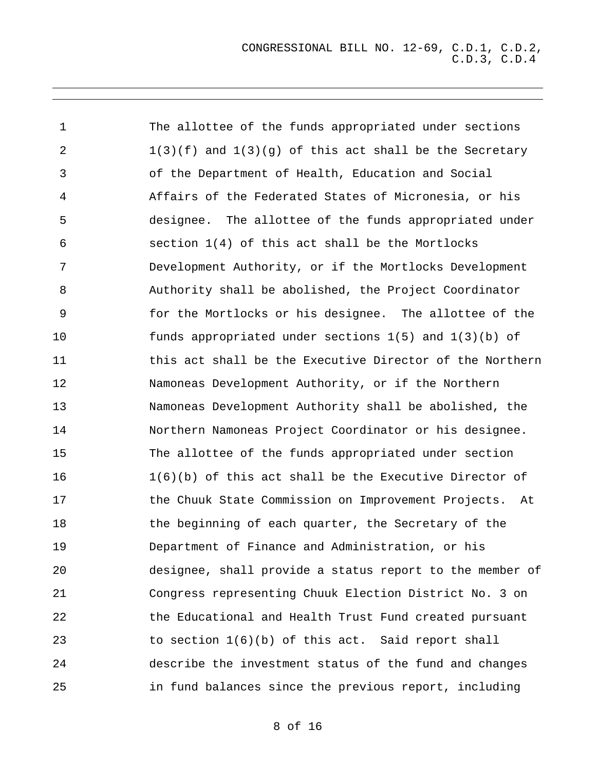1 2 3 4 5 6 7 8 9 10 11 12 13 14 15 16 17 18 19 20 21 22 23 24 25 The allottee of the funds appropriated under sections  $1(3)(f)$  and  $1(3)(q)$  of this act shall be the Secretary of the Department of Health, Education and Social Affairs of the Federated States of Micronesia, or his designee. The allottee of the funds appropriated under section 1(4) of this act shall be the Mortlocks Development Authority, or if the Mortlocks Development Authority shall be abolished, the Project Coordinator for the Mortlocks or his designee. The allottee of the funds appropriated under sections 1(5) and 1(3)(b) of this act shall be the Executive Director of the Northern Namoneas Development Authority, or if the Northern Namoneas Development Authority shall be abolished, the Northern Namoneas Project Coordinator or his designee. The allottee of the funds appropriated under section 1(6)(b) of this act shall be the Executive Director of the Chuuk State Commission on Improvement Projects. At the beginning of each quarter, the Secretary of the Department of Finance and Administration, or his designee, shall provide a status report to the member of Congress representing Chuuk Election District No. 3 on the Educational and Health Trust Fund created pursuant to section 1(6)(b) of this act. Said report shall describe the investment status of the fund and changes in fund balances since the previous report, including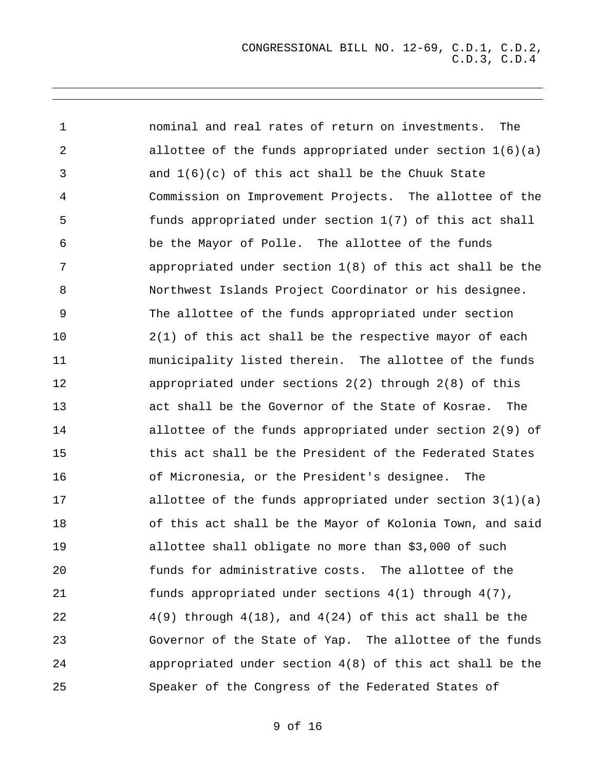| $\mathbf 1$ | nominal and real rates of return on investments.<br>The       |
|-------------|---------------------------------------------------------------|
| 2           | allottee of the funds appropriated under section $1(6)(a)$    |
| 3           | and $1(6)(c)$ of this act shall be the Chuuk State            |
| 4           | Commission on Improvement Projects. The allottee of the       |
| 5           | funds appropriated under section 1(7) of this act shall       |
| 6           | be the Mayor of Polle. The allottee of the funds              |
| 7           | appropriated under section $1(8)$ of this act shall be the    |
| 8           | Northwest Islands Project Coordinator or his designee.        |
| 9           | The allottee of the funds appropriated under section          |
| 10          | $2(1)$ of this act shall be the respective mayor of each      |
| 11          | municipality listed therein. The allottee of the funds        |
| 12          | appropriated under sections $2(2)$ through $2(8)$ of this     |
| 13          | act shall be the Governor of the State of Kosrae. The         |
| 14          | allottee of the funds appropriated under section 2(9) of      |
| 15          | this act shall be the President of the Federated States       |
| 16          | of Micronesia, or the President's designee.<br>The            |
| 17          | allottee of the funds appropriated under section $3(1)(a)$    |
| 18          | of this act shall be the Mayor of Kolonia Town, and said      |
| 19          | allottee shall obligate no more than \$3,000 of such          |
| 20          | funds for administrative costs. The allottee of the           |
| 21          | funds appropriated under sections 4(1) through 4(7),          |
| 22          | $4(9)$ through $4(18)$ , and $4(24)$ of this act shall be the |
| 23          | Governor of the State of Yap. The allottee of the funds       |
| 24          | appropriated under section $4(8)$ of this act shall be the    |
| 25          | Speaker of the Congress of the Federated States of            |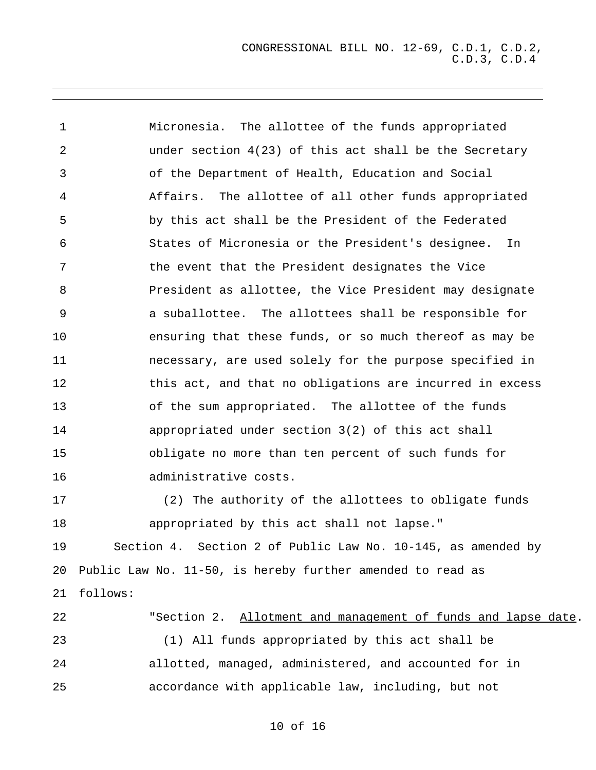1 2 3 4 5 6 7 8 9 10 11 12 13 14 15 16 17 18 19 20 21 Micronesia. The allottee of the funds appropriated under section  $4(23)$  of this act shall be the Secretary of the Department of Health, Education and Social Affairs. The allottee of all other funds appropriated by this act shall be the President of the Federated States of Micronesia or the President's designee. In the event that the President designates the Vice President as allottee, the Vice President may designate a suballottee. The allottees shall be responsible for ensuring that these funds, or so much thereof as may be necessary, are used solely for the purpose specified in this act, and that no obligations are incurred in excess of the sum appropriated. The allottee of the funds appropriated under section 3(2) of this act shall obligate no more than ten percent of such funds for administrative costs. (2) The authority of the allottees to obligate funds appropriated by this act shall not lapse." Section 4. Section 2 of Public Law No. 10-145, as amended by Public Law No. 11-50, is hereby further amended to read as follows: 22 23 24 "Section 2. Allotment and management of funds and lapse date. (1) All funds appropriated by this act shall be allotted, managed, administered, and accounted for in

25 accordance with applicable law, including, but not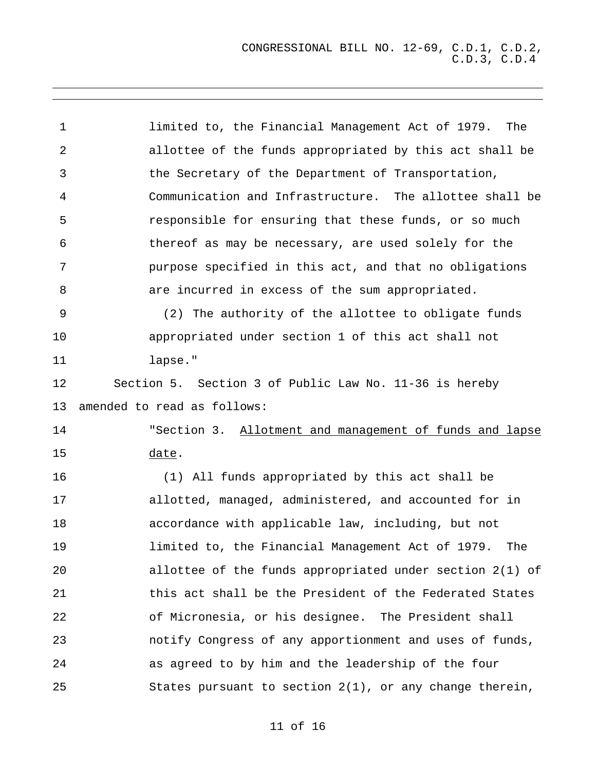1 2 3 4 5 6 7 8 9 10 11 12 13 limited to, the Financial Management Act of 1979. The allottee of the funds appropriated by this act shall be the Secretary of the Department of Transportation, Communication and Infrastructure. The allottee shall be responsible for ensuring that these funds, or so much thereof as may be necessary, are used solely for the purpose specified in this act, and that no obligations are incurred in excess of the sum appropriated. (2) The authority of the allottee to obligate funds appropriated under section 1 of this act shall not lapse." Section 5. Section 3 of Public Law No. 11-36 is hereby amended to read as follows: "Section 3. Allotment and management of funds and lapse date. 14 15 16 17 18 19 20 21 22 23 24 25 (1) All funds appropriated by this act shall be allotted, managed, administered, and accounted for in accordance with applicable law, including, but not limited to, the Financial Management Act of 1979. The allottee of the funds appropriated under section 2(1) of this act shall be the President of the Federated States of Micronesia, or his designee. The President shall notify Congress of any apportionment and uses of funds, as agreed to by him and the leadership of the four States pursuant to section 2(1), or any change therein,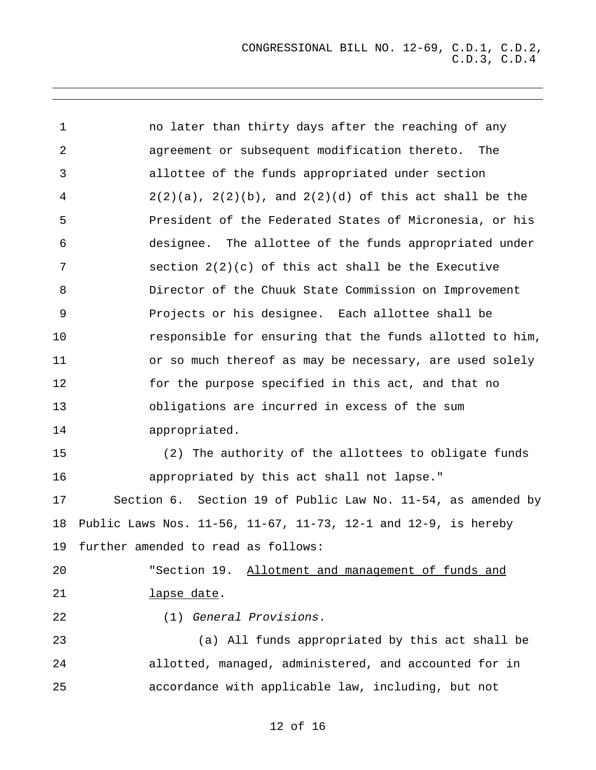| $\mathbf 1$ | no later than thirty days after the reaching of any            |
|-------------|----------------------------------------------------------------|
| 2           | agreement or subsequent modification thereto. The              |
| 3           | allottee of the funds appropriated under section               |
| 4           | $2(2)(a)$ , $2(2)(b)$ , and $2(2)(d)$ of this act shall be the |
| 5           | President of the Federated States of Micronesia, or his        |
| 6           | designee. The allottee of the funds appropriated under         |
| 7           | section $2(2)(c)$ of this act shall be the Executive           |
| 8           | Director of the Chuuk State Commission on Improvement          |
| 9           | Projects or his designee. Each allottee shall be               |
| 10          | responsible for ensuring that the funds allotted to him,       |
| 11          | or so much thereof as may be necessary, are used solely        |
| 12          | for the purpose specified in this act, and that no             |
| 13          | obligations are incurred in excess of the sum                  |
| 14          | appropriated.                                                  |
| 15          | (2) The authority of the allottees to obligate funds           |
| 16          | appropriated by this act shall not lapse."                     |
| 17          | Section 6. Section 19 of Public Law No. 11-54, as amended by   |
| 18          | Public Laws Nos. 11-56, 11-67, 11-73, 12-1 and 12-9, is hereby |
| 19          | further amended to read as follows:                            |
| 20          | "Section 19. Allotment and management of funds and             |
| 21          | lapse date.                                                    |
| 22          | (1) General Provisions.                                        |
| 23          | (a) All funds appropriated by this act shall be                |
| 24          | allotted, managed, administered, and accounted for in          |
| 25          | accordance with applicable law, including, but not             |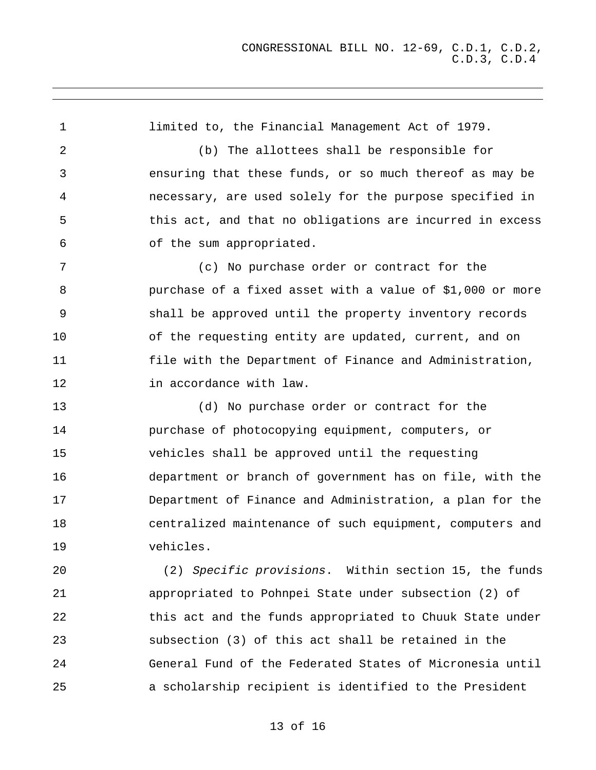1 2 3 4 5 6 7 8 9 10 11 12 13 14 15 16 17 18 19  $20^{\circ}$ 21 22 23 24 limited to, the Financial Management Act of 1979. (b) The allottees shall be responsible for ensuring that these funds, or so much thereof as may be necessary, are used solely for the purpose specified in this act, and that no obligations are incurred in excess of the sum appropriated. (c) No purchase order or contract for the purchase of a fixed asset with a value of \$1,000 or more shall be approved until the property inventory records of the requesting entity are updated, current, and on file with the Department of Finance and Administration, in accordance with law. (d) No purchase order or contract for the purchase of photocopying equipment, computers, or vehicles shall be approved until the requesting department or branch of government has on file, with the Department of Finance and Administration, a plan for the centralized maintenance of such equipment, computers and vehicles. (2) Specific provisions. Within section 15, the funds appropriated to Pohnpei State under subsection (2) of this act and the funds appropriated to Chuuk State under subsection (3) of this act shall be retained in the General Fund of the Federated States of Micronesia until

a scholarship recipient is identified to the President

### 13 of 16

25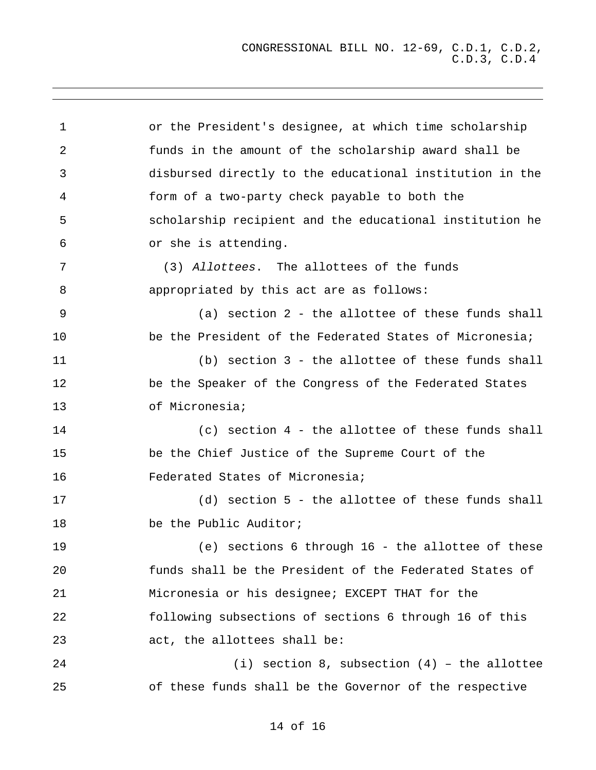CONGRESSIONAL BILL NO. 12-69, C.D.1, C.D.2, C.D.3, C.D.4

| $\mathbf 1$ | or the President's designee, at which time scholarship   |
|-------------|----------------------------------------------------------|
| 2           | funds in the amount of the scholarship award shall be    |
| 3           | disbursed directly to the educational institution in the |
| 4           | form of a two-party check payable to both the            |
| 5           | scholarship recipient and the educational institution he |
| 6           | or she is attending.                                     |
| 7           | (3) Allottees. The allottees of the funds                |
| 8           | appropriated by this act are as follows:                 |
| 9           | (a) section 2 - the allottee of these funds shall        |
| 10          | be the President of the Federated States of Micronesia;  |
| 11          | (b) section 3 - the allottee of these funds shall        |
| 12          | be the Speaker of the Congress of the Federated States   |
| 13          | of Micronesia;                                           |
| 14          | $(c)$ section 4 - the allottee of these funds shall      |
| 15          | be the Chief Justice of the Supreme Court of the         |
| 16          | Federated States of Micronesia;                          |
| 17          | (d) section 5 - the allottee of these funds shall        |
| 18          | be the Public Auditor;                                   |
| 19          | (e) sections 6 through 16 - the allottee of these        |
| 20          | funds shall be the President of the Federated States of  |
| 21          | Micronesia or his designee; EXCEPT THAT for the          |
| 22          | following subsections of sections 6 through 16 of this   |
| 23          | act, the allottees shall be:                             |
| 24          | (i) section 8, subsection $(4)$ - the allottee           |
| 25          | of these funds shall be the Governor of the respective   |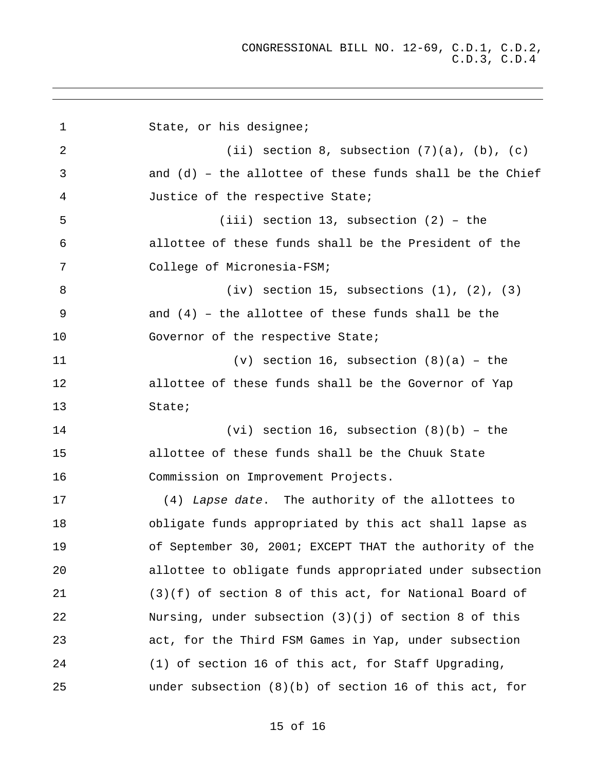| $\mathbf 1$ | State, or his designee;                                    |
|-------------|------------------------------------------------------------|
| 2           | (ii) section 8, subsection $(7)(a)$ , $(b)$ , $(c)$        |
| 3           | and $(d)$ - the allottee of these funds shall be the Chief |
| 4           | Justice of the respective State;                           |
| 5           | $(iii)$ section 13, subsection $(2)$ - the                 |
| 6           | allottee of these funds shall be the President of the      |
| 7           | College of Micronesia-FSM;                                 |
| 8           | $(iv)$ section 15, subsections $(1)$ , $(2)$ , $(3)$       |
| 9           | and $(4)$ - the allottee of these funds shall be the       |
| 10          | Governor of the respective State;                          |
| 11          | (v) section 16, subsection $(8)(a)$ - the                  |
| 12          | allottee of these funds shall be the Governor of Yap       |
| 13          | State;                                                     |
| 14          | $(vi)$ section 16, subsection $(8)(b)$ - the               |
| 15          | allottee of these funds shall be the Chuuk State           |
| 16          | Commission on Improvement Projects.                        |
| 17          | (4) Lapse date. The authority of the allottees to          |
| 18          | obligate funds appropriated by this act shall lapse as     |
| 19          | of September 30, 2001; EXCEPT THAT the authority of the    |
| 20          | allottee to obligate funds appropriated under subsection   |
| 21          | $(3)(f)$ of section 8 of this act, for National Board of   |
| 22          | Nursing, under subsection $(3)(j)$ of section 8 of this    |
| 23          | act, for the Third FSM Games in Yap, under subsection      |
| 24          | (1) of section 16 of this act, for Staff Upgrading,        |
| 25          | under subsection $(8)(b)$ of section 16 of this act, for   |